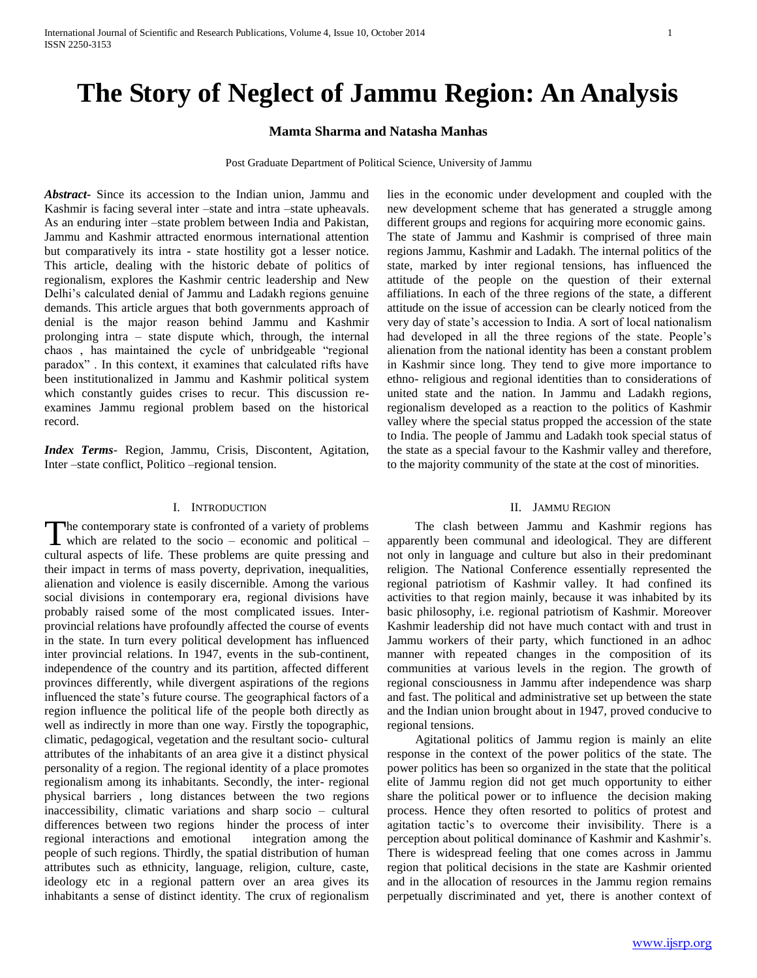# **The Story of Neglect of Jammu Region: An Analysis**

# **Mamta Sharma and Natasha Manhas**

Post Graduate Department of Political Science, University of Jammu

*Abstract***-** Since its accession to the Indian union, Jammu and Kashmir is facing several inter –state and intra –state upheavals. As an enduring inter –state problem between India and Pakistan, Jammu and Kashmir attracted enormous international attention but comparatively its intra - state hostility got a lesser notice. This article, dealing with the historic debate of politics of regionalism, explores the Kashmir centric leadership and New Delhi's calculated denial of Jammu and Ladakh regions genuine demands. This article argues that both governments approach of denial is the major reason behind Jammu and Kashmir prolonging intra – state dispute which, through, the internal chaos , has maintained the cycle of unbridgeable "regional paradox" . In this context, it examines that calculated rifts have been institutionalized in Jammu and Kashmir political system which constantly guides crises to recur. This discussion reexamines Jammu regional problem based on the historical record.

*Index Terms*- Region, Jammu, Crisis, Discontent, Agitation, Inter –state conflict, Politico –regional tension.

#### I. INTRODUCTION

he contemporary state is confronted of a variety of problems The contemporary state is confronted of a variety of problems<br>which are related to the socio – economic and political – cultural aspects of life. These problems are quite pressing and their impact in terms of mass poverty, deprivation, inequalities, alienation and violence is easily discernible. Among the various social divisions in contemporary era, regional divisions have probably raised some of the most complicated issues. Interprovincial relations have profoundly affected the course of events in the state. In turn every political development has influenced inter provincial relations. In 1947, events in the sub-continent, independence of the country and its partition, affected different provinces differently, while divergent aspirations of the regions influenced the state's future course. The geographical factors of a region influence the political life of the people both directly as well as indirectly in more than one way. Firstly the topographic, climatic, pedagogical, vegetation and the resultant socio- cultural attributes of the inhabitants of an area give it a distinct physical personality of a region. The regional identity of a place promotes regionalism among its inhabitants. Secondly, the inter- regional physical barriers , long distances between the two regions inaccessibility, climatic variations and sharp socio – cultural differences between two regions hinder the process of inter regional interactions and emotional integration among the people of such regions. Thirdly, the spatial distribution of human attributes such as ethnicity, language, religion, culture, caste, ideology etc in a regional pattern over an area gives its inhabitants a sense of distinct identity. The crux of regionalism

lies in the economic under development and coupled with the new development scheme that has generated a struggle among different groups and regions for acquiring more economic gains. The state of Jammu and Kashmir is comprised of three main regions Jammu, Kashmir and Ladakh. The internal politics of the state, marked by inter regional tensions, has influenced the attitude of the people on the question of their external affiliations. In each of the three regions of the state, a different attitude on the issue of accession can be clearly noticed from the very day of state's accession to India. A sort of local nationalism had developed in all the three regions of the state. People's alienation from the national identity has been a constant problem in Kashmir since long. They tend to give more importance to ethno- religious and regional identities than to considerations of united state and the nation. In Jammu and Ladakh regions, regionalism developed as a reaction to the politics of Kashmir valley where the special status propped the accession of the state to India. The people of Jammu and Ladakh took special status of the state as a special favour to the Kashmir valley and therefore, to the majority community of the state at the cost of minorities.

# II. JAMMU REGION

 The clash between Jammu and Kashmir regions has apparently been communal and ideological. They are different not only in language and culture but also in their predominant religion. The National Conference essentially represented the regional patriotism of Kashmir valley. It had confined its activities to that region mainly, because it was inhabited by its basic philosophy, i.e. regional patriotism of Kashmir. Moreover Kashmir leadership did not have much contact with and trust in Jammu workers of their party, which functioned in an adhoc manner with repeated changes in the composition of its communities at various levels in the region. The growth of regional consciousness in Jammu after independence was sharp and fast. The political and administrative set up between the state and the Indian union brought about in 1947, proved conducive to regional tensions.

 Agitational politics of Jammu region is mainly an elite response in the context of the power politics of the state. The power politics has been so organized in the state that the political elite of Jammu region did not get much opportunity to either share the political power or to influence the decision making process. Hence they often resorted to politics of protest and agitation tactic's to overcome their invisibility. There is a perception about political dominance of Kashmir and Kashmir's. There is widespread feeling that one comes across in Jammu region that political decisions in the state are Kashmir oriented and in the allocation of resources in the Jammu region remains perpetually discriminated and yet, there is another context of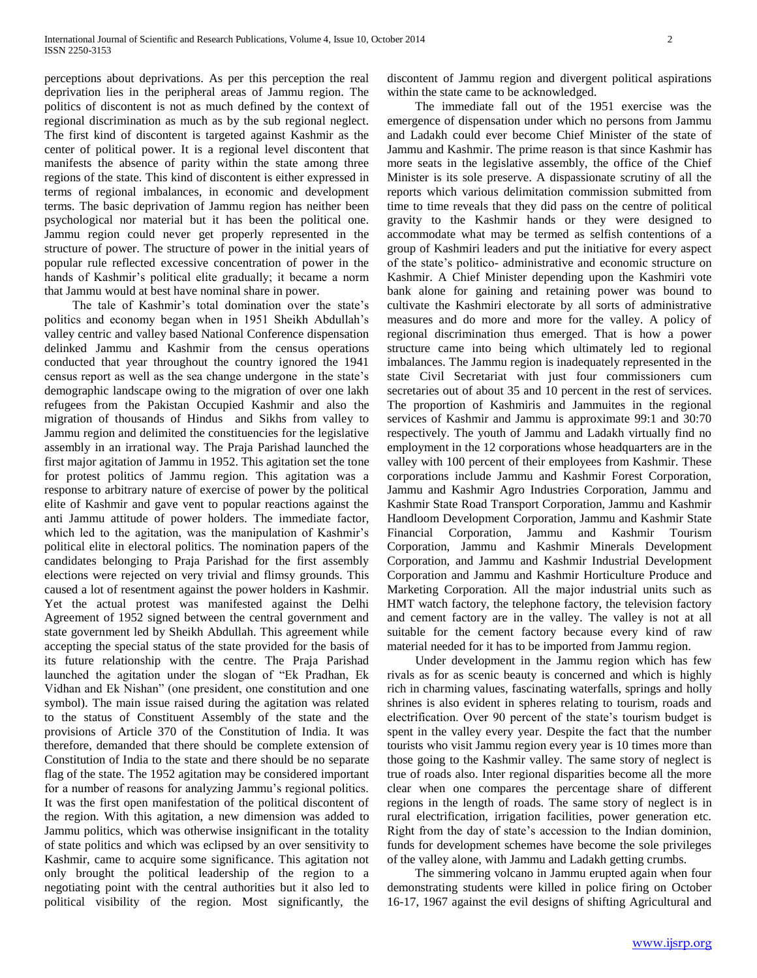perceptions about deprivations. As per this perception the real deprivation lies in the peripheral areas of Jammu region. The politics of discontent is not as much defined by the context of regional discrimination as much as by the sub regional neglect. The first kind of discontent is targeted against Kashmir as the center of political power. It is a regional level discontent that manifests the absence of parity within the state among three regions of the state. This kind of discontent is either expressed in terms of regional imbalances, in economic and development terms. The basic deprivation of Jammu region has neither been psychological nor material but it has been the political one. Jammu region could never get properly represented in the structure of power. The structure of power in the initial years of popular rule reflected excessive concentration of power in the hands of Kashmir's political elite gradually; it became a norm that Jammu would at best have nominal share in power.

 The tale of Kashmir's total domination over the state's politics and economy began when in 1951 Sheikh Abdullah's valley centric and valley based National Conference dispensation delinked Jammu and Kashmir from the census operations conducted that year throughout the country ignored the 1941 census report as well as the sea change undergone in the state's demographic landscape owing to the migration of over one lakh refugees from the Pakistan Occupied Kashmir and also the migration of thousands of Hindus and Sikhs from valley to Jammu region and delimited the constituencies for the legislative assembly in an irrational way. The Praja Parishad launched the first major agitation of Jammu in 1952. This agitation set the tone for protest politics of Jammu region. This agitation was a response to arbitrary nature of exercise of power by the political elite of Kashmir and gave vent to popular reactions against the anti Jammu attitude of power holders. The immediate factor, which led to the agitation, was the manipulation of Kashmir's political elite in electoral politics. The nomination papers of the candidates belonging to Praja Parishad for the first assembly elections were rejected on very trivial and flimsy grounds. This caused a lot of resentment against the power holders in Kashmir. Yet the actual protest was manifested against the Delhi Agreement of 1952 signed between the central government and state government led by Sheikh Abdullah. This agreement while accepting the special status of the state provided for the basis of its future relationship with the centre. The Praja Parishad launched the agitation under the slogan of "Ek Pradhan, Ek Vidhan and Ek Nishan" (one president, one constitution and one symbol). The main issue raised during the agitation was related to the status of Constituent Assembly of the state and the provisions of Article 370 of the Constitution of India. It was therefore, demanded that there should be complete extension of Constitution of India to the state and there should be no separate flag of the state. The 1952 agitation may be considered important for a number of reasons for analyzing Jammu's regional politics. It was the first open manifestation of the political discontent of the region. With this agitation, a new dimension was added to Jammu politics, which was otherwise insignificant in the totality of state politics and which was eclipsed by an over sensitivity to Kashmir, came to acquire some significance. This agitation not only brought the political leadership of the region to a negotiating point with the central authorities but it also led to political visibility of the region. Most significantly, the

discontent of Jammu region and divergent political aspirations within the state came to be acknowledged.

 The immediate fall out of the 1951 exercise was the emergence of dispensation under which no persons from Jammu and Ladakh could ever become Chief Minister of the state of Jammu and Kashmir. The prime reason is that since Kashmir has more seats in the legislative assembly, the office of the Chief Minister is its sole preserve. A dispassionate scrutiny of all the reports which various delimitation commission submitted from time to time reveals that they did pass on the centre of political gravity to the Kashmir hands or they were designed to accommodate what may be termed as selfish contentions of a group of Kashmiri leaders and put the initiative for every aspect of the state's politico- administrative and economic structure on Kashmir. A Chief Minister depending upon the Kashmiri vote bank alone for gaining and retaining power was bound to cultivate the Kashmiri electorate by all sorts of administrative measures and do more and more for the valley. A policy of regional discrimination thus emerged. That is how a power structure came into being which ultimately led to regional imbalances. The Jammu region is inadequately represented in the state Civil Secretariat with just four commissioners cum secretaries out of about 35 and 10 percent in the rest of services. The proportion of Kashmiris and Jammuites in the regional services of Kashmir and Jammu is approximate 99:1 and 30:70 respectively. The youth of Jammu and Ladakh virtually find no employment in the 12 corporations whose headquarters are in the valley with 100 percent of their employees from Kashmir. These corporations include Jammu and Kashmir Forest Corporation, Jammu and Kashmir Agro Industries Corporation, Jammu and Kashmir State Road Transport Corporation, Jammu and Kashmir Handloom Development Corporation, Jammu and Kashmir State Financial Corporation, Jammu and Kashmir Tourism Corporation, Jammu and Kashmir Minerals Development Corporation, and Jammu and Kashmir Industrial Development Corporation and Jammu and Kashmir Horticulture Produce and Marketing Corporation. All the major industrial units such as HMT watch factory, the telephone factory, the television factory and cement factory are in the valley. The valley is not at all suitable for the cement factory because every kind of raw material needed for it has to be imported from Jammu region.

 Under development in the Jammu region which has few rivals as for as scenic beauty is concerned and which is highly rich in charming values, fascinating waterfalls, springs and holly shrines is also evident in spheres relating to tourism, roads and electrification. Over 90 percent of the state's tourism budget is spent in the valley every year. Despite the fact that the number tourists who visit Jammu region every year is 10 times more than those going to the Kashmir valley. The same story of neglect is true of roads also. Inter regional disparities become all the more clear when one compares the percentage share of different regions in the length of roads. The same story of neglect is in rural electrification, irrigation facilities, power generation etc. Right from the day of state's accession to the Indian dominion, funds for development schemes have become the sole privileges of the valley alone, with Jammu and Ladakh getting crumbs.

 The simmering volcano in Jammu erupted again when four demonstrating students were killed in police firing on October 16-17, 1967 against the evil designs of shifting Agricultural and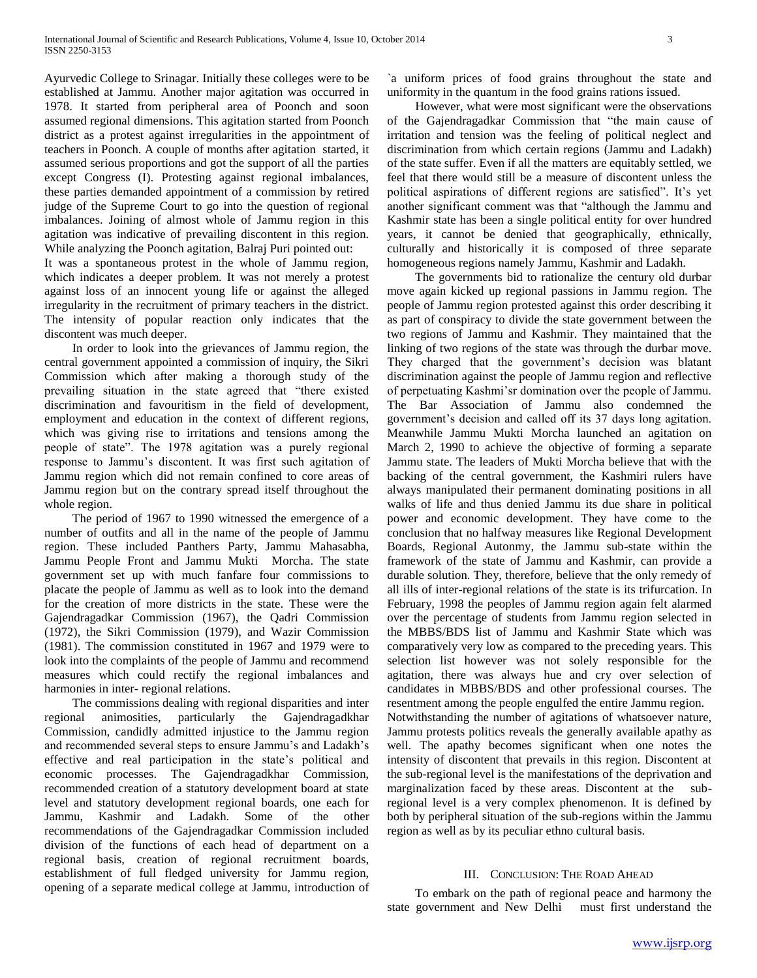Ayurvedic College to Srinagar. Initially these colleges were to be established at Jammu. Another major agitation was occurred in 1978. It started from peripheral area of Poonch and soon assumed regional dimensions. This agitation started from Poonch district as a protest against irregularities in the appointment of teachers in Poonch. A couple of months after agitation started, it assumed serious proportions and got the support of all the parties except Congress (I). Protesting against regional imbalances, these parties demanded appointment of a commission by retired judge of the Supreme Court to go into the question of regional imbalances. Joining of almost whole of Jammu region in this agitation was indicative of prevailing discontent in this region. While analyzing the Poonch agitation, Balraj Puri pointed out:

It was a spontaneous protest in the whole of Jammu region, which indicates a deeper problem. It was not merely a protest against loss of an innocent young life or against the alleged irregularity in the recruitment of primary teachers in the district. The intensity of popular reaction only indicates that the discontent was much deeper.

 In order to look into the grievances of Jammu region, the central government appointed a commission of inquiry, the Sikri Commission which after making a thorough study of the prevailing situation in the state agreed that "there existed discrimination and favouritism in the field of development, employment and education in the context of different regions, which was giving rise to irritations and tensions among the people of state". The 1978 agitation was a purely regional response to Jammu's discontent. It was first such agitation of Jammu region which did not remain confined to core areas of Jammu region but on the contrary spread itself throughout the whole region.

 The period of 1967 to 1990 witnessed the emergence of a number of outfits and all in the name of the people of Jammu region. These included Panthers Party, Jammu Mahasabha, Jammu People Front and Jammu Mukti Morcha. The state government set up with much fanfare four commissions to placate the people of Jammu as well as to look into the demand for the creation of more districts in the state. These were the Gajendragadkar Commission (1967), the Qadri Commission (1972), the Sikri Commission (1979), and Wazir Commission (1981). The commission constituted in 1967 and 1979 were to look into the complaints of the people of Jammu and recommend measures which could rectify the regional imbalances and harmonies in inter- regional relations.

 The commissions dealing with regional disparities and inter regional animosities, particularly the Gajendragadkhar Commission, candidly admitted injustice to the Jammu region and recommended several steps to ensure Jammu's and Ladakh's effective and real participation in the state's political and economic processes. The Gajendragadkhar Commission, recommended creation of a statutory development board at state level and statutory development regional boards, one each for Jammu, Kashmir and Ladakh. Some of the other recommendations of the Gajendragadkar Commission included division of the functions of each head of department on a regional basis, creation of regional recruitment boards, establishment of full fledged university for Jammu region, opening of a separate medical college at Jammu, introduction of

`a uniform prices of food grains throughout the state and uniformity in the quantum in the food grains rations issued.

 However, what were most significant were the observations of the Gajendragadkar Commission that "the main cause of irritation and tension was the feeling of political neglect and discrimination from which certain regions (Jammu and Ladakh) of the state suffer. Even if all the matters are equitably settled, we feel that there would still be a measure of discontent unless the political aspirations of different regions are satisfied". It's yet another significant comment was that "although the Jammu and Kashmir state has been a single political entity for over hundred years, it cannot be denied that geographically, ethnically, culturally and historically it is composed of three separate homogeneous regions namely Jammu, Kashmir and Ladakh.

 The governments bid to rationalize the century old durbar move again kicked up regional passions in Jammu region. The people of Jammu region protested against this order describing it as part of conspiracy to divide the state government between the two regions of Jammu and Kashmir. They maintained that the linking of two regions of the state was through the durbar move. They charged that the government's decision was blatant discrimination against the people of Jammu region and reflective of perpetuating Kashmi'sr domination over the people of Jammu. The Bar Association of Jammu also condemned the government's decision and called off its 37 days long agitation. Meanwhile Jammu Mukti Morcha launched an agitation on March 2, 1990 to achieve the objective of forming a separate Jammu state. The leaders of Mukti Morcha believe that with the backing of the central government, the Kashmiri rulers have always manipulated their permanent dominating positions in all walks of life and thus denied Jammu its due share in political power and economic development. They have come to the conclusion that no halfway measures like Regional Development Boards, Regional Autonmy, the Jammu sub-state within the framework of the state of Jammu and Kashmir, can provide a durable solution. They, therefore, believe that the only remedy of all ills of inter-regional relations of the state is its trifurcation. In February, 1998 the peoples of Jammu region again felt alarmed over the percentage of students from Jammu region selected in the MBBS/BDS list of Jammu and Kashmir State which was comparatively very low as compared to the preceding years. This selection list however was not solely responsible for the agitation, there was always hue and cry over selection of candidates in MBBS/BDS and other professional courses. The resentment among the people engulfed the entire Jammu region.

Notwithstanding the number of agitations of whatsoever nature, Jammu protests politics reveals the generally available apathy as well. The apathy becomes significant when one notes the intensity of discontent that prevails in this region. Discontent at the sub-regional level is the manifestations of the deprivation and marginalization faced by these areas. Discontent at the subregional level is a very complex phenomenon. It is defined by both by peripheral situation of the sub-regions within the Jammu region as well as by its peculiar ethno cultural basis.

### III. CONCLUSION: THE ROAD AHEAD

 To embark on the path of regional peace and harmony the state government and New Delhi must first understand the